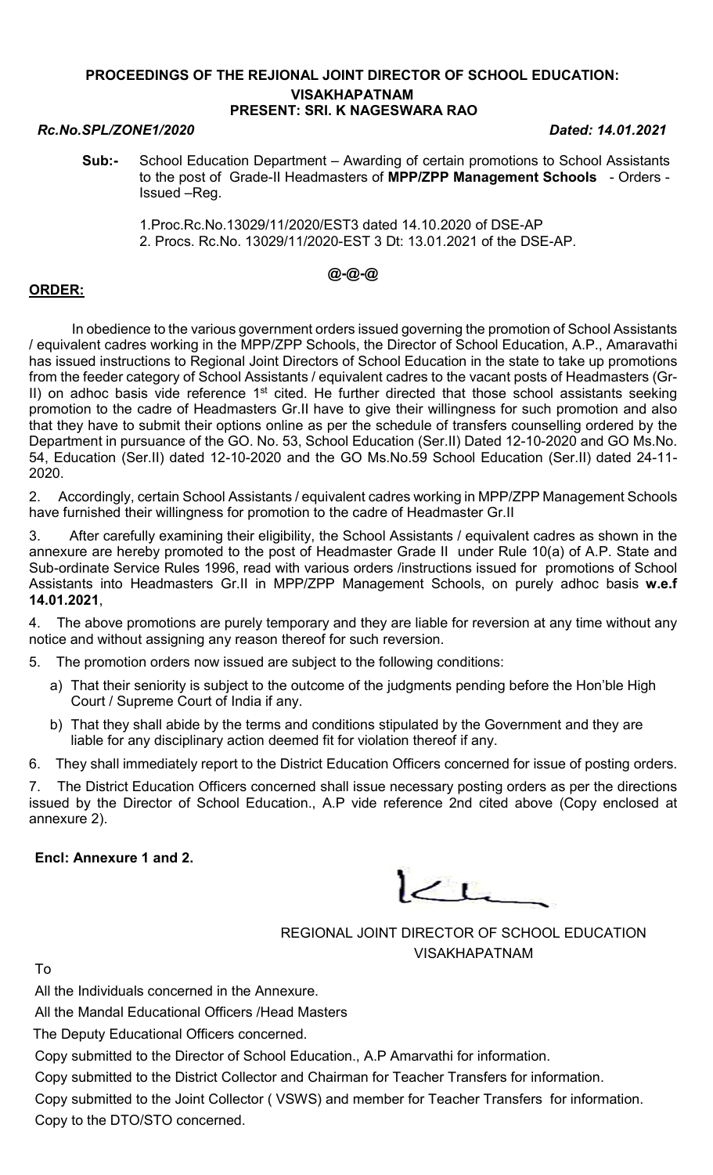### PROCEEDINGS OF THE REJIONAL JOINT DIRECTOR OF SCHOOL EDUCATION: VISAKHAPATNAM PRESENT: SRI. K NAGESWARA RAO

### Rc.No.SPL/ZONE1/2020 Dated: 14.01.2021

- Sub:- School Education Department Awarding of certain promotions to School Assistants to the post of Grade-II Headmasters of MPP/ZPP Management Schools - Orders -Issued –Reg.
	- 1.Proc.Rc.No.13029/11/2020/EST3 dated 14.10.2020 of DSE-AP 2. Procs. Rc.No. 13029/11/2020-EST 3 Dt: 13.01.2021 of the DSE-AP.

# @-@-@

## ORDER:

 In obedience to the various government orders issued governing the promotion of School Assistants / equivalent cadres working in the MPP/ZPP Schools, the Director of School Education, A.P., Amaravathi has issued instructions to Regional Joint Directors of School Education in the state to take up promotions from the feeder category of School Assistants / equivalent cadres to the vacant posts of Headmasters (Gr-II) on adhoc basis vide reference 1<sup>st</sup> cited. He further directed that those school assistants seeking promotion to the cadre of Headmasters Gr.II have to give their willingness for such promotion and also that they have to submit their options online as per the schedule of transfers counselling ordered by the Department in pursuance of the GO. No. 53, School Education (Ser.II) Dated 12-10-2020 and GO Ms.No. 54, Education (Ser.II) dated 12-10-2020 and the GO Ms.No.59 School Education (Ser.II) dated 24-11- 2020.

2. Accordingly, certain School Assistants / equivalent cadres working in MPP/ZPP Management Schools have furnished their willingness for promotion to the cadre of Headmaster Gr.II

3. After carefully examining their eligibility, the School Assistants / equivalent cadres as shown in the annexure are hereby promoted to the post of Headmaster Grade II under Rule 10(a) of A.P. State and Sub-ordinate Service Rules 1996, read with various orders /instructions issued for promotions of School Assistants into Headmasters Gr.II in MPP/ZPP Management Schools, on purely adhoc basis w.e.f 14.01.2021,

4. The above promotions are purely temporary and they are liable for reversion at any time without any notice and without assigning any reason thereof for such reversion.

5. The promotion orders now issued are subject to the following conditions:

- a) That their seniority is subject to the outcome of the judgments pending before the Hon'ble High Court / Supreme Court of India if any.
- b) That they shall abide by the terms and conditions stipulated by the Government and they are liable for any disciplinary action deemed fit for violation thereof if any.

6. They shall immediately report to the District Education Officers concerned for issue of posting orders.

7. The District Education Officers concerned shall issue necessary posting orders as per the directions issued by the Director of School Education., A.P vide reference 2nd cited above (Copy enclosed at annexure 2).

Encl: Annexure 1 and 2.

 $\leq$  L

REGIONAL JOINT DIRECTOR OF SCHOOL EDUCATION VISAKHAPATNAM

To

All the Individuals concerned in the Annexure.

All the Mandal Educational Officers /Head Masters

The Deputy Educational Officers concerned.

Copy submitted to the Director of School Education., A.P Amarvathi for information.

Copy submitted to the District Collector and Chairman for Teacher Transfers for information.

Copy submitted to the Joint Collector ( VSWS) and member for Teacher Transfers for information. Copy to the DTO/STO concerned.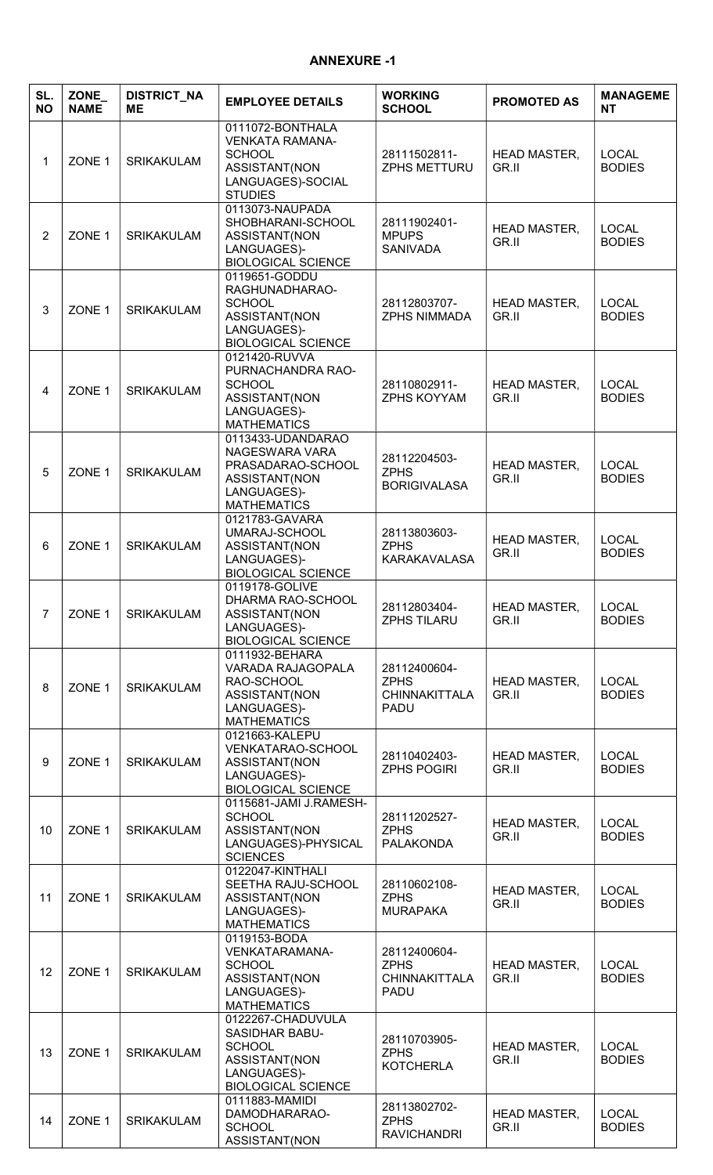# ANNEXURE -1

| SL.<br><b>NO</b> | ZONE_<br><b>NAME</b> | <b>DISTRICT_NA</b><br><b>ME</b> | <b>EMPLOYEE DETAILS</b>                                                                                                  | <b>WORKING</b><br><b>SCHOOL</b>                                    | <b>PROMOTED AS</b>           | <b>MANAGEME</b><br><b>NT</b>  |
|------------------|----------------------|---------------------------------|--------------------------------------------------------------------------------------------------------------------------|--------------------------------------------------------------------|------------------------------|-------------------------------|
| 1                | ZONE <sub>1</sub>    | <b>SRIKAKULAM</b>               | 0111072-BONTHALA<br><b>VENKATA RAMANA-</b><br><b>SCHOOL</b><br>ASSISTANT(NON<br>LANGUAGES)-SOCIAL<br><b>STUDIES</b>      | 28111502811-<br><b>ZPHS METTURU</b>                                | <b>HEAD MASTER,</b><br>GR.II | <b>LOCAL</b><br><b>BODIES</b> |
| $\overline{2}$   | ZONE <sub>1</sub>    | <b>SRIKAKULAM</b>               | 0113073-NAUPADA<br>SHOBHARANI-SCHOOL<br>ASSISTANT(NON<br>LANGUAGES)-<br><b>BIOLOGICAL SCIENCE</b>                        | 28111902401-<br><b>MPUPS</b><br><b>SANIVADA</b>                    | <b>HEAD MASTER,</b><br>GR.II | <b>LOCAL</b><br><b>BODIES</b> |
| 3                | ZONE 1               | <b>SRIKAKULAM</b>               | 0119651-GODDU<br>RAGHUNADHARAO-<br><b>SCHOOL</b><br>ASSISTANT(NON<br>LANGUAGES)-<br><b>BIOLOGICAL SCIENCE</b>            | 28112803707-<br><b>ZPHS NIMMADA</b>                                | <b>HEAD MASTER,</b><br>GR.II | <b>LOCAL</b><br><b>BODIES</b> |
| 4                | ZONE 1               | <b>SRIKAKULAM</b>               | 0121420-RUVVA<br>PURNACHANDRA RAO-<br><b>SCHOOL</b><br>ASSISTANT(NON<br>LANGUAGES)-<br><b>MATHEMATICS</b>                | 28110802911-<br>ZPHS KOYYAM                                        | <b>HEAD MASTER,</b><br>GR.II | <b>LOCAL</b><br><b>BODIES</b> |
| 5                | ZONE <sub>1</sub>    | <b>SRIKAKULAM</b>               | 0113433-UDANDARAO<br>NAGESWARA VARA<br>PRASADARAO-SCHOOL<br>ASSISTANT(NON<br>LANGUAGES)-<br><b>MATHEMATICS</b>           | 28112204503-<br><b>ZPHS</b><br><b>BORIGIVALASA</b>                 | <b>HEAD MASTER,</b><br>GR.II | <b>LOCAL</b><br><b>BODIES</b> |
| 6                | ZONE <sub>1</sub>    | <b>SRIKAKULAM</b>               | 0121783-GAVARA<br>UMARAJ-SCHOOL<br>ASSISTANT(NON<br>LANGUAGES)-<br><b>BIOLOGICAL SCIENCE</b>                             | 28113803603-<br><b>ZPHS</b><br><b>KARAKAVALASA</b>                 | <b>HEAD MASTER,</b><br>GR.II | <b>LOCAL</b><br><b>BODIES</b> |
| $\overline{7}$   | ZONE 1               | <b>SRIKAKULAM</b>               | 0119178-GOLIVE<br>DHARMA RAO-SCHOOL<br>ASSISTANT(NON<br>LANGUAGES)-<br><b>BIOLOGICAL SCIENCE</b>                         | 28112803404-<br><b>ZPHS TILARU</b>                                 | <b>HEAD MASTER,</b><br>GR.II | <b>LOCAL</b><br><b>BODIES</b> |
| 8                | ZONE <sub>1</sub>    | <b>SRIKAKULAM</b>               | 0111932-BEHARA<br>VARADA RAJAGOPALA<br>RAO-SCHOOL<br>ASSISTANT(NON<br>LANGUAGES)-<br><b>MATHEMATICS</b>                  | 28112400604-<br><b>ZPHS</b><br><b>CHINNAKITTALA</b><br><b>PADU</b> | <b>HEAD MASTER,</b><br>GR.II | <b>LOCAL</b><br><b>BODIES</b> |
| 9                | ZONE 1               | SRIKAKULAM                      | 0121663-KALEPU<br>VENKATARAO-SCHOOL<br>ASSISTANT(NON<br>LANGUAGES)-<br><b>BIOLOGICAL SCIENCE</b>                         | 28110402403-<br><b>ZPHS POGIRI</b>                                 | <b>HEAD MASTER,</b><br>GR.II | <b>LOCAL</b><br><b>BODIES</b> |
| 10               | ZONE <sub>1</sub>    | <b>SRIKAKULAM</b>               | 0115681-JAMI J.RAMESH-<br><b>SCHOOL</b><br>ASSISTANT(NON<br>LANGUAGES)-PHYSICAL<br><b>SCIENCES</b>                       | 28111202527-<br><b>ZPHS</b><br><b>PALAKONDA</b>                    | <b>HEAD MASTER,</b><br>GR.II | <b>LOCAL</b><br><b>BODIES</b> |
| 11               | ZONE 1               | <b>SRIKAKULAM</b>               | 0122047-KINTHALI<br>SEETHA RAJU-SCHOOL<br>ASSISTANT(NON<br>LANGUAGES)-<br><b>MATHEMATICS</b>                             | 28110602108-<br><b>ZPHS</b><br><b>MURAPAKA</b>                     | <b>HEAD MASTER,</b><br>GR.II | <b>LOCAL</b><br><b>BODIES</b> |
| 12               | ZONE 1               | <b>SRIKAKULAM</b>               | 0119153-BODA<br><b>VENKATARAMANA-</b><br><b>SCHOOL</b><br>ASSISTANT(NON<br>LANGUAGES)-<br><b>MATHEMATICS</b>             | 28112400604-<br><b>ZPHS</b><br><b>CHINNAKITTALA</b><br><b>PADU</b> | <b>HEAD MASTER,</b><br>GR.II | <b>LOCAL</b><br><b>BODIES</b> |
| 13               | ZONE 1               | <b>SRIKAKULAM</b>               | 0122267-CHADUVULA<br><b>SASIDHAR BABU-</b><br><b>SCHOOL</b><br>ASSISTANT(NON<br>LANGUAGES)-<br><b>BIOLOGICAL SCIENCE</b> | 28110703905-<br><b>ZPHS</b><br><b>KOTCHERLA</b>                    | <b>HEAD MASTER,</b><br>GR.II | <b>LOCAL</b><br><b>BODIES</b> |
| 14               | ZONE 1               | <b>SRIKAKULAM</b>               | 0111883-MAMIDI<br>DAMODHARARAO-<br>SCHOOL<br><b>ASSISTANT(NON</b>                                                        | 28113802702-<br><b>ZPHS</b><br><b>RAVICHANDRI</b>                  | <b>HEAD MASTER,</b><br>GR.II | <b>LOCAL</b><br><b>BODIES</b> |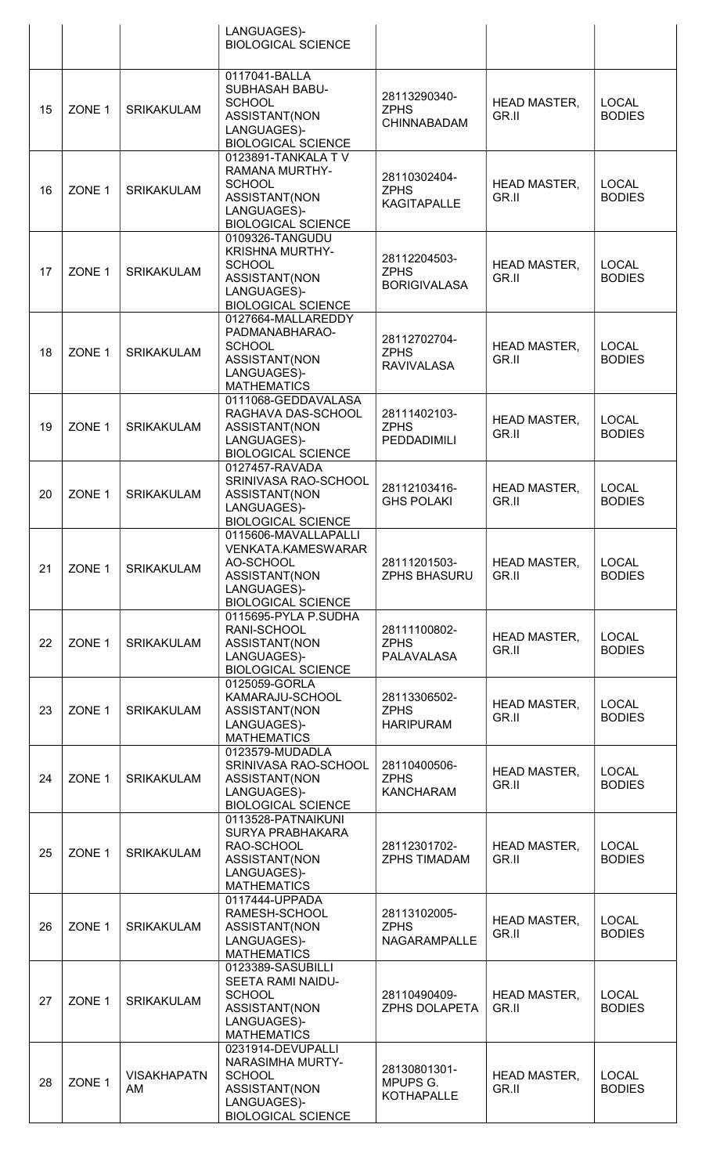|    |                   |                          | LANGUAGES)-<br><b>BIOLOGICAL SCIENCE</b>                                                                                |                                                    |                              |                               |
|----|-------------------|--------------------------|-------------------------------------------------------------------------------------------------------------------------|----------------------------------------------------|------------------------------|-------------------------------|
| 15 | ZONE <sub>1</sub> | <b>SRIKAKULAM</b>        | 0117041-BALLA<br><b>SUBHASAH BABU-</b><br><b>SCHOOL</b><br>ASSISTANT(NON<br>LANGUAGES)-<br><b>BIOLOGICAL SCIENCE</b>    | 28113290340-<br><b>ZPHS</b><br>CHINNABADAM         | <b>HEAD MASTER,</b><br>GR.II | <b>LOCAL</b><br><b>BODIES</b> |
| 16 | ZONE 1            | <b>SRIKAKULAM</b>        | 0123891-TANKALA TV<br>RAMANA MURTHY-<br><b>SCHOOL</b><br>ASSISTANT(NON<br>LANGUAGES)-<br><b>BIOLOGICAL SCIENCE</b>      | 28110302404-<br><b>ZPHS</b><br><b>KAGITAPALLE</b>  | <b>HEAD MASTER,</b><br>GR.II | <b>LOCAL</b><br><b>BODIES</b> |
| 17 | ZONE 1            | <b>SRIKAKULAM</b>        | 0109326-TANGUDU<br><b>KRISHNA MURTHY-</b><br><b>SCHOOL</b><br>ASSISTANT(NON<br>LANGUAGES)-<br><b>BIOLOGICAL SCIENCE</b> | 28112204503-<br><b>ZPHS</b><br><b>BORIGIVALASA</b> | <b>HEAD MASTER,</b><br>GR.II | <b>LOCAL</b><br><b>BODIES</b> |
| 18 | ZONE 1            | <b>SRIKAKULAM</b>        | 0127664-MALLAREDDY<br>PADMANABHARAO-<br><b>SCHOOL</b><br>ASSISTANT(NON<br>LANGUAGES)-<br><b>MATHEMATICS</b>             | 28112702704-<br><b>ZPHS</b><br><b>RAVIVALASA</b>   | <b>HEAD MASTER,</b><br>GR.II | <b>LOCAL</b><br><b>BODIES</b> |
| 19 | ZONE 1            | <b>SRIKAKULAM</b>        | 0111068-GEDDAVALASA<br>RAGHAVA DAS-SCHOOL<br>ASSISTANT(NON<br>LANGUAGES)-<br><b>BIOLOGICAL SCIENCE</b>                  | 28111402103-<br><b>ZPHS</b><br><b>PEDDADIMILI</b>  | <b>HEAD MASTER,</b><br>GR.II | <b>LOCAL</b><br><b>BODIES</b> |
| 20 | ZONE 1            | <b>SRIKAKULAM</b>        | 0127457-RAVADA<br>SRINIVASA RAO-SCHOOL<br>ASSISTANT(NON<br>LANGUAGES)-<br><b>BIOLOGICAL SCIENCE</b>                     | 28112103416-<br><b>GHS POLAKI</b>                  | <b>HEAD MASTER,</b><br>GR.II | <b>LOCAL</b><br><b>BODIES</b> |
| 21 | ZONE <sub>1</sub> | <b>SRIKAKULAM</b>        | 0115606-MAVALLAPALLI<br>VENKATA.KAMESWARAR<br>AO-SCHOOL<br>ASSISTANT(NON<br>LANGUAGES)-<br><b>BIOLOGICAL SCIENCE</b>    | 28111201503-<br><b>ZPHS BHASURU</b>                | <b>HEAD MASTER,</b><br>GR.II | <b>LOCAL</b><br><b>BODIES</b> |
| 22 | ZONE 1            | <b>SRIKAKULAM</b>        | 0115695-PYLA P.SUDHA<br>RANI-SCHOOL<br>ASSISTANT(NON<br>LANGUAGES)-<br><b>BIOLOGICAL SCIENCE</b>                        | 28111100802-<br><b>ZPHS</b><br><b>PALAVALASA</b>   | <b>HEAD MASTER,</b><br>GR.II | <b>LOCAL</b><br><b>BODIES</b> |
| 23 | ZONE 1            | <b>SRIKAKULAM</b>        | 0125059-GORLA<br>KAMARAJU-SCHOOL<br>ASSISTANT(NON<br>LANGUAGES)-<br><b>MATHEMATICS</b>                                  | 28113306502-<br><b>ZPHS</b><br><b>HARIPURAM</b>    | <b>HEAD MASTER,</b><br>GR.II | <b>LOCAL</b><br><b>BODIES</b> |
| 24 | ZONE 1            | <b>SRIKAKULAM</b>        | 0123579-MUDADLA<br>SRINIVASA RAO-SCHOOL<br>ASSISTANT(NON<br>LANGUAGES)-<br><b>BIOLOGICAL SCIENCE</b>                    | 28110400506-<br><b>ZPHS</b><br><b>KANCHARAM</b>    | <b>HEAD MASTER,</b><br>GR.II | <b>LOCAL</b><br><b>BODIES</b> |
| 25 | ZONE 1            | <b>SRIKAKULAM</b>        | 0113528-PATNAIKUNI<br>SURYA PRABHAKARA<br>RAO-SCHOOL<br>ASSISTANT(NON<br>LANGUAGES)-<br><b>MATHEMATICS</b>              | 28112301702-<br><b>ZPHS TIMADAM</b>                | <b>HEAD MASTER,</b><br>GR.II | <b>LOCAL</b><br><b>BODIES</b> |
| 26 | ZONE <sub>1</sub> | <b>SRIKAKULAM</b>        | 0117444-UPPADA<br>RAMESH-SCHOOL<br>ASSISTANT(NON<br>LANGUAGES)-<br><b>MATHEMATICS</b>                                   | 28113102005-<br><b>ZPHS</b><br><b>NAGARAMPALLE</b> | <b>HEAD MASTER,</b><br>GR.II | <b>LOCAL</b><br><b>BODIES</b> |
| 27 | ZONE 1            | <b>SRIKAKULAM</b>        | 0123389-SASUBILLI<br>SEETA RAMI NAIDU-<br><b>SCHOOL</b><br>ASSISTANT(NON<br>LANGUAGES)-<br><b>MATHEMATICS</b>           | 28110490409-<br><b>ZPHS DOLAPETA</b>               | <b>HEAD MASTER,</b><br>GR.II | <b>LOCAL</b><br><b>BODIES</b> |
| 28 | ZONE <sub>1</sub> | <b>VISAKHAPATN</b><br>AM | 0231914-DEVUPALLI<br>NARASIMHA MURTY-<br><b>SCHOOL</b><br>ASSISTANT(NON<br>LANGUAGES)-<br><b>BIOLOGICAL SCIENCE</b>     | 28130801301-<br>MPUPS G.<br><b>KOTHAPALLE</b>      | <b>HEAD MASTER,</b><br>GR.II | <b>LOCAL</b><br><b>BODIES</b> |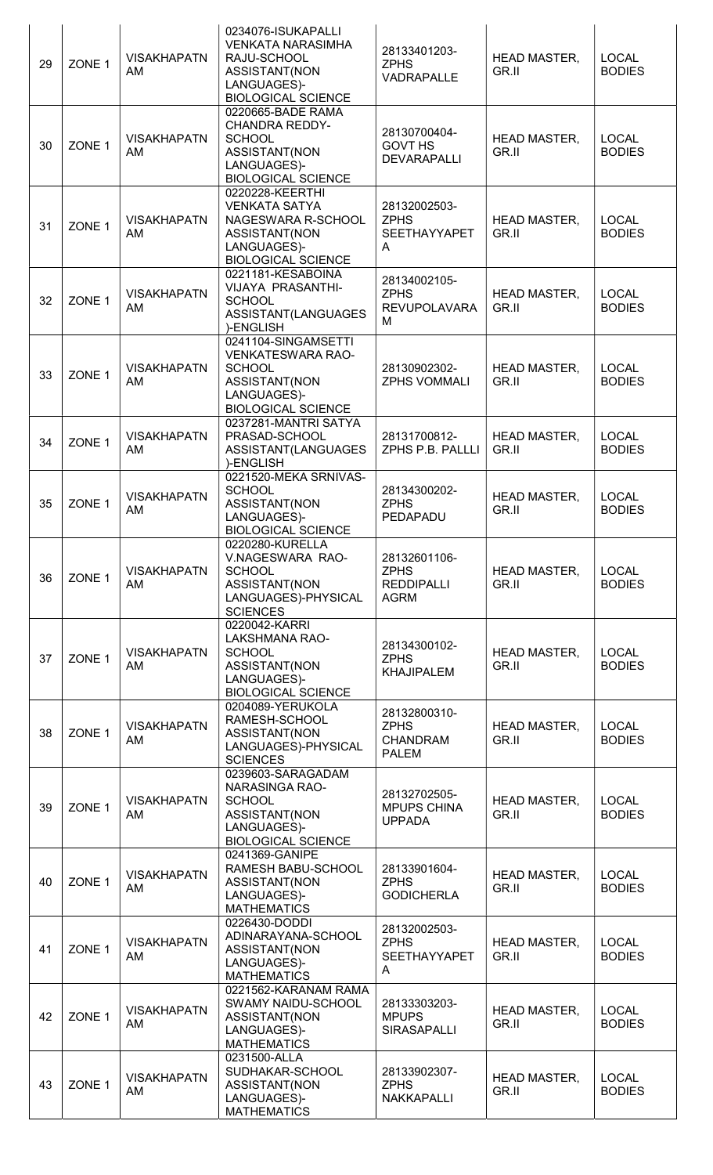| 29 | ZONE <sub>1</sub> | <b>VISAKHAPATN</b><br>AM        | 0234076-ISUKAPALLI<br><b>VENKATA NARASIMHA</b><br>RAJU-SCHOOL<br>ASSISTANT(NON<br>LANGUAGES)-<br><b>BIOLOGICAL SCIENCE</b>    | 28133401203-<br><b>ZPHS</b><br>VADRAPALLE                       | HEAD MASTER,<br>GR.II        | <b>LOCAL</b><br><b>BODIES</b> |
|----|-------------------|---------------------------------|-------------------------------------------------------------------------------------------------------------------------------|-----------------------------------------------------------------|------------------------------|-------------------------------|
| 30 | ZONE <sub>1</sub> | <b>VISAKHAPATN</b><br><b>AM</b> | 0220665-BADE RAMA<br><b>CHANDRA REDDY-</b><br><b>SCHOOL</b><br>ASSISTANT(NON<br>LANGUAGES)-<br><b>BIOLOGICAL SCIENCE</b>      | 28130700404-<br><b>GOVT HS</b><br><b>DEVARAPALLI</b>            | <b>HEAD MASTER,</b><br>GR.II | <b>LOCAL</b><br><b>BODIES</b> |
| 31 | ZONE 1            | <b>VISAKHAPATN</b><br>AM        | 0220228-KEERTHI<br><b>VENKATA SATYA</b><br>NAGESWARA R-SCHOOL<br>ASSISTANT(NON<br>LANGUAGES)-<br><b>BIOLOGICAL SCIENCE</b>    | 28132002503-<br><b>ZPHS</b><br><b>SEETHAYYAPET</b><br>A         | <b>HEAD MASTER,</b><br>GR.II | <b>LOCAL</b><br><b>BODIES</b> |
| 32 | ZONE <sub>1</sub> | <b>VISAKHAPATN</b><br>AM        | 0221181-KESABOINA<br>VIJAYA PRASANTHI-<br><b>SCHOOL</b><br>ASSISTANT(LANGUAGES<br>)-ENGLISH                                   | 28134002105-<br><b>ZPHS</b><br><b>REVUPOLAVARA</b><br>M         | <b>HEAD MASTER,</b><br>GR.II | <b>LOCAL</b><br><b>BODIES</b> |
| 33 | ZONE <sub>1</sub> | <b>VISAKHAPATN</b><br>AM        | 0241104-SINGAMSETTI<br><b>VENKATESWARA RAO-</b><br><b>SCHOOL</b><br>ASSISTANT(NON<br>LANGUAGES)-<br><b>BIOLOGICAL SCIENCE</b> | 28130902302-<br><b>ZPHS VOMMALI</b>                             | <b>HEAD MASTER,</b><br>GR.II | <b>LOCAL</b><br><b>BODIES</b> |
| 34 | ZONE <sub>1</sub> | <b>VISAKHAPATN</b><br><b>AM</b> | 0237281-MANTRI SATYA<br>PRASAD-SCHOOL<br>ASSISTANT(LANGUAGES<br>)-ENGLISH                                                     | 28131700812-<br>ZPHS P.B. PALLLI                                | <b>HEAD MASTER,</b><br>GR.II | <b>LOCAL</b><br><b>BODIES</b> |
| 35 | ZONE 1            | <b>VISAKHAPATN</b><br>AM        | 0221520-MEKA SRNIVAS-<br><b>SCHOOL</b><br>ASSISTANT(NON<br>LANGUAGES)-<br><b>BIOLOGICAL SCIENCE</b>                           | 28134300202-<br><b>ZPHS</b><br>PEDAPADU                         | <b>HEAD MASTER,</b><br>GR.II | <b>LOCAL</b><br><b>BODIES</b> |
| 36 | ZONE <sub>1</sub> | <b>VISAKHAPATN</b><br>AM        | 0220280-KURELLA<br>V.NAGESWARA RAO-<br><b>SCHOOL</b><br>ASSISTANT(NON<br>LANGUAGES)-PHYSICAL<br><b>SCIENCES</b>               | 28132601106-<br><b>ZPHS</b><br><b>REDDIPALLI</b><br><b>AGRM</b> | <b>HEAD MASTER,</b><br>GR.II | <b>LOCAL</b><br><b>BODIES</b> |
| 37 | ZONE <sub>1</sub> | <b>VISAKHAPATN</b><br>AM        | 0220042-KARRI<br>LAKSHMANA RAO-<br><b>SCHOOL</b><br>ASSISTANT(NON<br>LANGUAGES)-<br><b>BIOLOGICAL SCIENCE</b>                 | 28134300102-<br><b>ZPHS</b><br><b>KHAJIPALEM</b>                | HEAD MASTER,<br>GR.II        | <b>LOCAL</b><br><b>BODIES</b> |
| 38 | ZONE 1            | <b>VISAKHAPATN</b><br><b>AM</b> | 0204089-YERUKOLA<br>RAMESH-SCHOOL<br>ASSISTANT(NON<br>LANGUAGES)-PHYSICAL<br><b>SCIENCES</b>                                  | 28132800310-<br><b>ZPHS</b><br><b>CHANDRAM</b><br><b>PALEM</b>  | <b>HEAD MASTER,</b><br>GR.II | <b>LOCAL</b><br><b>BODIES</b> |
| 39 | ZONE <sub>1</sub> | <b>VISAKHAPATN</b><br>AM        | 0239603-SARAGADAM<br>NARASINGA RAO-<br><b>SCHOOL</b><br>ASSISTANT(NON<br>LANGUAGES)-<br><b>BIOLOGICAL SCIENCE</b>             | 28132702505-<br><b>MPUPS CHINA</b><br><b>UPPADA</b>             | <b>HEAD MASTER,</b><br>GR.II | <b>LOCAL</b><br><b>BODIES</b> |
| 40 | ZONE <sub>1</sub> | <b>VISAKHAPATN</b><br>AM        | 0241369-GANIPE<br>RAMESH BABU-SCHOOL<br>ASSISTANT(NON<br>LANGUAGES)-<br><b>MATHEMATICS</b>                                    | 28133901604-<br><b>ZPHS</b><br><b>GODICHERLA</b>                | <b>HEAD MASTER,</b><br>GR.II | <b>LOCAL</b><br><b>BODIES</b> |
| 41 | ZONE <sub>1</sub> | <b>VISAKHAPATN</b><br><b>AM</b> | 0226430-DODDI<br>ADINARAYANA-SCHOOL<br>ASSISTANT(NON<br>LANGUAGES)-<br><b>MATHEMATICS</b>                                     | 28132002503-<br><b>ZPHS</b><br><b>SEETHAYYAPET</b><br>A         | <b>HEAD MASTER,</b><br>GR.II | <b>LOCAL</b><br><b>BODIES</b> |
| 42 | ZONE <sub>1</sub> | <b>VISAKHAPATN</b><br>AM        | 0221562-KARANAM RAMA<br>SWAMY NAIDU-SCHOOL<br>ASSISTANT(NON<br>LANGUAGES)-<br><b>MATHEMATICS</b>                              | 28133303203-<br><b>MPUPS</b><br><b>SIRASAPALLI</b>              | <b>HEAD MASTER,</b><br>GR.II | <b>LOCAL</b><br><b>BODIES</b> |
| 43 | ZONE 1            | <b>VISAKHAPATN</b><br>AM        | 0231500-ALLA<br>SUDHAKAR-SCHOOL<br>ASSISTANT(NON<br>LANGUAGES)-<br><b>MATHEMATICS</b>                                         | 28133902307-<br><b>ZPHS</b><br>NAKKAPALLI                       | <b>HEAD MASTER,</b><br>GR.II | <b>LOCAL</b><br><b>BODIES</b> |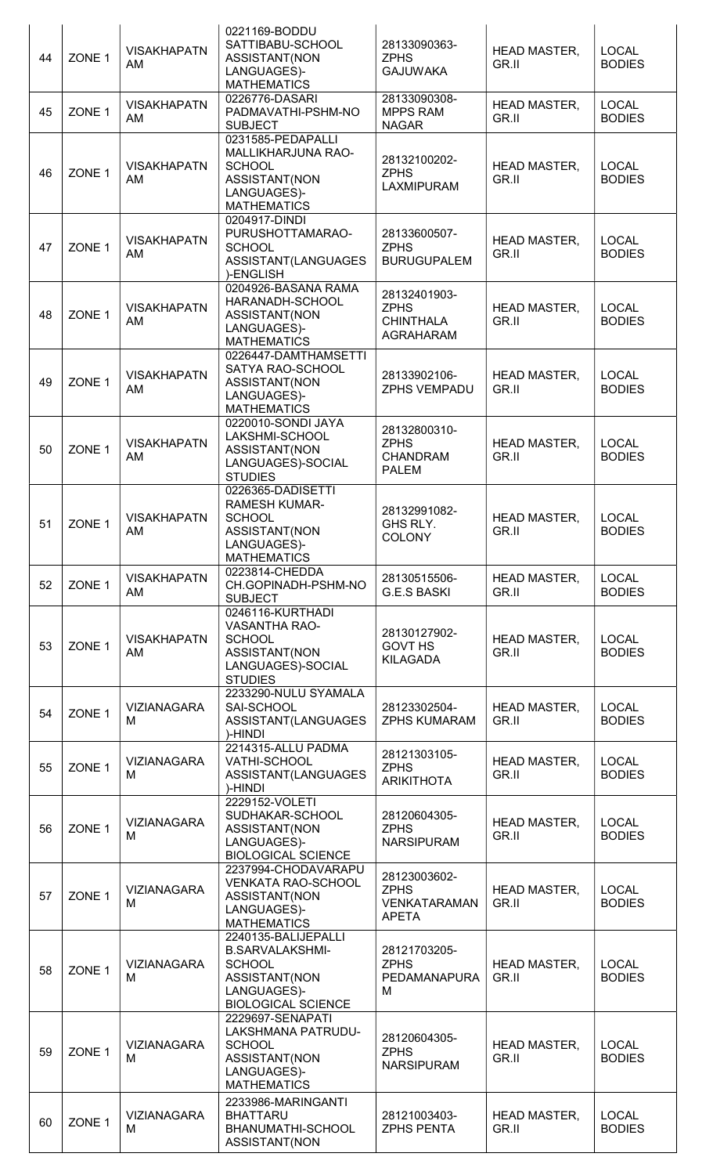| 44 | ZONE <sub>1</sub> | <b>VISAKHAPATN</b><br>AM | 0221169-BODDU<br>SATTIBABU-SCHOOL<br>ASSISTANT(NON<br>LANGUAGES)-<br><b>MATHEMATICS</b>                                     | 28133090363-<br><b>ZPHS</b><br><b>GAJUWAKA</b>                 | <b>HEAD MASTER,</b><br>GR.II | <b>LOCAL</b><br><b>BODIES</b> |
|----|-------------------|--------------------------|-----------------------------------------------------------------------------------------------------------------------------|----------------------------------------------------------------|------------------------------|-------------------------------|
| 45 | ZONE 1            | <b>VISAKHAPATN</b><br>AM | 0226776-DASARI<br>PADMAVATHI-PSHM-NO<br><b>SUBJECT</b>                                                                      | 28133090308-<br><b>MPPS RAM</b><br><b>NAGAR</b>                | <b>HEAD MASTER,</b><br>GR.II | <b>LOCAL</b><br><b>BODIES</b> |
| 46 | ZONE <sub>1</sub> | <b>VISAKHAPATN</b><br>AM | 0231585-PEDAPALLI<br>MALLIKHARJUNA RAO-<br><b>SCHOOL</b><br>ASSISTANT(NON<br>LANGUAGES)-<br><b>MATHEMATICS</b>              | 28132100202-<br><b>ZPHS</b><br>LAXMIPURAM                      | HEAD MASTER,<br>GR.II        | <b>LOCAL</b><br><b>BODIES</b> |
| 47 | ZONE 1            | <b>VISAKHAPATN</b><br>AM | 0204917-DINDI<br>PURUSHOTTAMARAO-<br><b>SCHOOL</b><br>ASSISTANT(LANGUAGES<br>)-ENGLISH                                      | 28133600507-<br><b>ZPHS</b><br><b>BURUGUPALEM</b>              | HEAD MASTER,<br>GR.II        | <b>LOCAL</b><br><b>BODIES</b> |
| 48 | ZONE <sub>1</sub> | <b>VISAKHAPATN</b><br>AM | 0204926-BASANA RAMA<br>HARANADH-SCHOOL<br>ASSISTANT(NON<br>LANGUAGES)-<br><b>MATHEMATICS</b>                                | 28132401903-<br><b>ZPHS</b><br><b>CHINTHALA</b><br>AGRAHARAM   | <b>HEAD MASTER,</b><br>GR.II | <b>LOCAL</b><br><b>BODIES</b> |
| 49 | ZONE <sub>1</sub> | <b>VISAKHAPATN</b><br>AM | 0226447-DAMTHAMSETTI<br>SATYA RAO-SCHOOL<br>ASSISTANT(NON<br>LANGUAGES)-<br><b>MATHEMATICS</b>                              | 28133902106-<br><b>ZPHS VEMPADU</b>                            | HEAD MASTER,<br>GR.II        | <b>LOCAL</b><br><b>BODIES</b> |
| 50 | ZONE <sub>1</sub> | <b>VISAKHAPATN</b><br>AM | 0220010-SONDI JAYA<br>LAKSHMI-SCHOOL<br>ASSISTANT(NON<br>LANGUAGES)-SOCIAL<br><b>STUDIES</b>                                | 28132800310-<br><b>ZPHS</b><br><b>CHANDRAM</b><br><b>PALEM</b> | <b>HEAD MASTER,</b><br>GR.II | <b>LOCAL</b><br><b>BODIES</b> |
| 51 | ZONE 1            | <b>VISAKHAPATN</b><br>AM | 0226365-DADISETTI<br><b>RAMESH KUMAR-</b><br><b>SCHOOL</b><br>ASSISTANT(NON<br>LANGUAGES)-<br><b>MATHEMATICS</b>            | 28132991082-<br>GHS RLY.<br><b>COLONY</b>                      | <b>HEAD MASTER,</b><br>GR.II | <b>LOCAL</b><br><b>BODIES</b> |
| 52 | ZONE 1            | <b>VISAKHAPATN</b><br>AM | 0223814-CHEDDA<br>CH.GOPINADH-PSHM-NO<br><b>SUBJECT</b>                                                                     | 28130515506-<br><b>G.E.S BASKI</b>                             | <b>HEAD MASTER,</b><br>GR.II | <b>LOCAL</b><br><b>BODIES</b> |
| 53 | ZONE <sub>1</sub> | <b>VISAKHAPATN</b><br>AM | 0246116-KURTHADI<br><b>VASANTHA RAO-</b><br><b>SCHOOL</b><br>ASSISTANT(NON<br>LANGUAGES)-SOCIAL<br><b>STUDIES</b>           | 28130127902-<br><b>GOVT HS</b><br><b>KILAGADA</b>              | HEAD MASTER,<br>GR.II        | <b>LOCAL</b><br><b>BODIES</b> |
| 54 | ZONE <sub>1</sub> | <b>VIZIANAGARA</b><br>M  | 2233290-NULU SYAMALA<br>SAI-SCHOOL<br>ASSISTANT(LANGUAGES<br>)-HINDI                                                        | 28123302504-<br><b>ZPHS KUMARAM</b>                            | HEAD MASTER,<br>GR.II        | <b>LOCAL</b><br><b>BODIES</b> |
| 55 | ZONE <sub>1</sub> | <b>VIZIANAGARA</b><br>M  | 2214315-ALLU PADMA<br>VATHI-SCHOOL<br>ASSISTANT(LANGUAGES<br>)-HINDI                                                        | 28121303105-<br><b>ZPHS</b><br><b>ARIKITHOTA</b>               | HEAD MASTER,<br>GR.II        | <b>LOCAL</b><br><b>BODIES</b> |
| 56 | ZONE <sub>1</sub> | <b>VIZIANAGARA</b><br>M  | 2229152-VOLETI<br>SUDHAKAR-SCHOOL<br>ASSISTANT(NON<br>LANGUAGES)-<br><b>BIOLOGICAL SCIENCE</b>                              | 28120604305-<br><b>ZPHS</b><br><b>NARSIPURAM</b>               | <b>HEAD MASTER,</b><br>GR.II | <b>LOCAL</b><br><b>BODIES</b> |
| 57 | ZONE <sub>1</sub> | <b>VIZIANAGARA</b><br>M  | 2237994-CHODAVARAPU<br><b>VENKATA RAO-SCHOOL</b><br>ASSISTANT(NON<br>LANGUAGES)-<br><b>MATHEMATICS</b>                      | 28123003602-<br><b>ZPHS</b><br>VENKATARAMAN<br><b>APETA</b>    | <b>HEAD MASTER,</b><br>GR.II | <b>LOCAL</b><br><b>BODIES</b> |
| 58 | ZONE <sub>1</sub> | <b>VIZIANAGARA</b><br>M  | 2240135-BALIJEPALLI<br><b>B.SARVALAKSHMI-</b><br><b>SCHOOL</b><br>ASSISTANT(NON<br>LANGUAGES)-<br><b>BIOLOGICAL SCIENCE</b> | 28121703205-<br><b>ZPHS</b><br>PEDAMANAPURA<br>M               | <b>HEAD MASTER,</b><br>GR.II | <b>LOCAL</b><br><b>BODIES</b> |
| 59 | ZONE 1            | <b>VIZIANAGARA</b><br>M  | 2229697-SENAPATI<br>LAKSHMANA PATRUDU-<br><b>SCHOOL</b><br>ASSISTANT(NON<br>LANGUAGES)-<br><b>MATHEMATICS</b>               | 28120604305-<br><b>ZPHS</b><br><b>NARSIPURAM</b>               | <b>HEAD MASTER,</b><br>GR.II | <b>LOCAL</b><br><b>BODIES</b> |
| 60 | ZONE 1            | <b>VIZIANAGARA</b><br>M  | 2233986-MARINGANTI<br><b>BHATTARU</b><br>BHANUMATHI-SCHOOL<br>ASSISTANT(NON                                                 | 28121003403-<br><b>ZPHS PENTA</b>                              | <b>HEAD MASTER,</b><br>GR.II | <b>LOCAL</b><br><b>BODIES</b> |